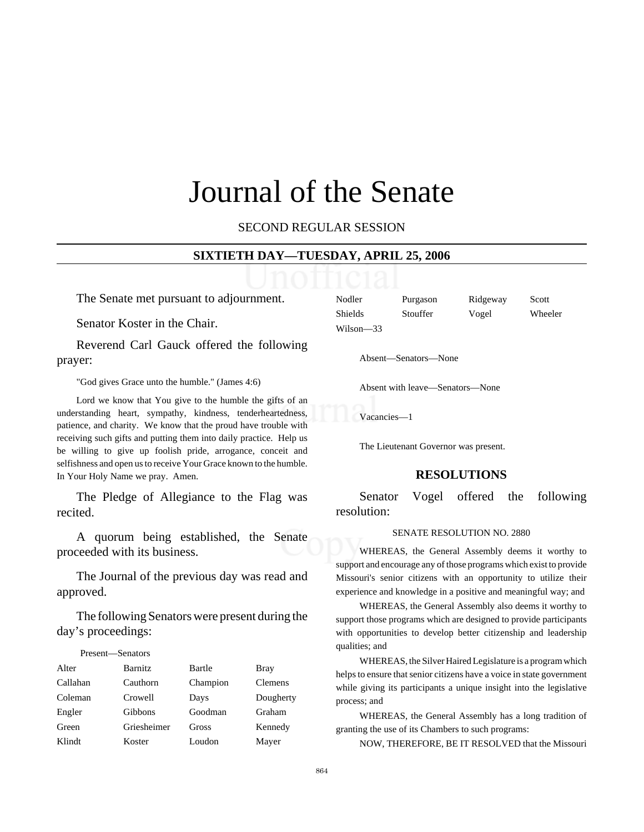# Journal of the Senate

SECOND REGULAR SESSION

#### **SIXTIETH DAY—TUESDAY, APRIL 25, 2006**

The Senate met pursuant to adjournment.

Senator Koster in the Chair.

Reverend Carl Gauck offered the following prayer:

"God gives Grace unto the humble." (James 4:6)

Lord we know that You give to the humble the gifts of an understanding heart, sympathy, kindness, tenderheartedness, patience, and charity. We know that the proud have trouble with receiving such gifts and putting them into daily practice. Help us be willing to give up foolish pride, arrogance, conceit and selfishness and open us to receive Your Grace known to the humble. In Your Holy Name we pray. Amen.

The Pledge of Allegiance to the Flag was recited.

A quorum being established, the Senate proceeded with its business.

The Journal of the previous day was read and approved.

The following Senators were present during the day's proceedings:

#### Present—Senators

| Alter    | <b>Barnitz</b> | Bartle   | Bray           |
|----------|----------------|----------|----------------|
| Callahan | Cauthorn       | Champion | <b>Clemens</b> |
| Coleman  | Crowell        | Days     | Dougherty      |
| Engler   | Gibbons        | Goodman  | Graham         |
| Green    | Griesheimer    | Gross    | Kennedy        |
| Klindt   | Koster         | Loudon   | Mayer          |

| Nodler         | Purgason | Ridgeway | Scott   |
|----------------|----------|----------|---------|
| <b>Shields</b> | Stouffer | Vogel    | Wheeler |
| Wilson—33      |          |          |         |

Absent—Senators—None

Absent with leave—Senators—None

Vacancies—1

The Lieutenant Governor was present.

#### **RESOLUTIONS**

Senator Vogel offered the following resolution:

#### SENATE RESOLUTION NO. 2880

WHEREAS, the General Assembly deems it worthy to support and encourage any of those programs which exist to provide Missouri's senior citizens with an opportunity to utilize their experience and knowledge in a positive and meaningful way; and

WHEREAS, the General Assembly also deems it worthy to support those programs which are designed to provide participants with opportunities to develop better citizenship and leadership qualities; and

WHEREAS, the Silver Haired Legislature is a program which helps to ensure that senior citizens have a voice in state government while giving its participants a unique insight into the legislative process; and

WHEREAS, the General Assembly has a long tradition of granting the use of its Chambers to such programs:

NOW, THEREFORE, BE IT RESOLVED that the Missouri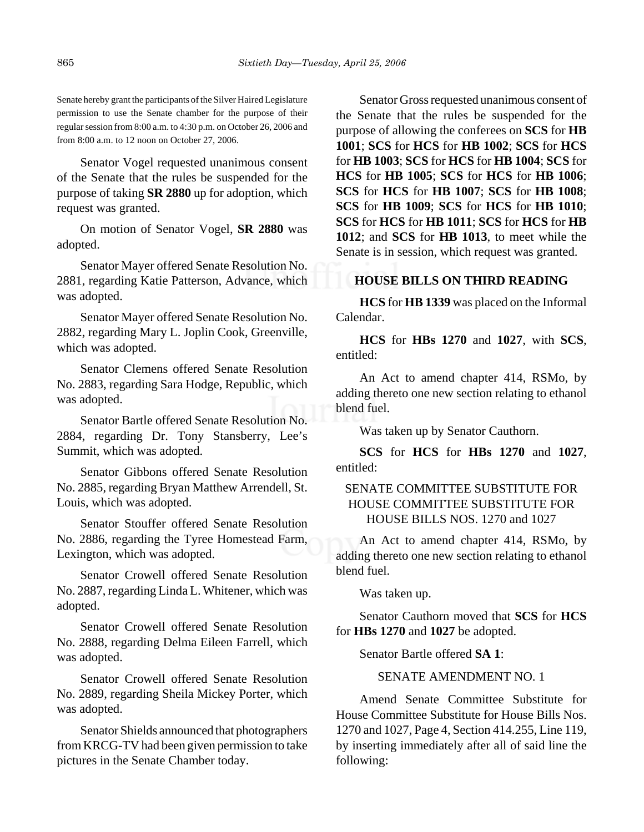Senate hereby grant the participants of the Silver Haired Legislature permission to use the Senate chamber for the purpose of their regular session from 8:00 a.m. to 4:30 p.m. on October 26, 2006 and from 8:00 a.m. to 12 noon on October 27, 2006.

Senator Vogel requested unanimous consent of the Senate that the rules be suspended for the purpose of taking **SR 2880** up for adoption, which request was granted.

On motion of Senator Vogel, **SR 2880** was adopted.

Senator Mayer offered Senate Resolution No. 2881, regarding Katie Patterson, Advance, which was adopted.

Senator Mayer offered Senate Resolution No. 2882, regarding Mary L. Joplin Cook, Greenville, which was adopted.

Senator Clemens offered Senate Resolution No. 2883, regarding Sara Hodge, Republic, which was adopted.

Senator Bartle offered Senate Resolution No. 2884, regarding Dr. Tony Stansberry, Lee's Summit, which was adopted.

Senator Gibbons offered Senate Resolution No. 2885, regarding Bryan Matthew Arrendell, St. Louis, which was adopted.

Senator Stouffer offered Senate Resolution No. 2886, regarding the Tyree Homestead Farm, Lexington, which was adopted.

Senator Crowell offered Senate Resolution No. 2887, regarding Linda L. Whitener, which was adopted.

Senator Crowell offered Senate Resolution No. 2888, regarding Delma Eileen Farrell, which was adopted.

Senator Crowell offered Senate Resolution No. 2889, regarding Sheila Mickey Porter, which was adopted.

Senator Shields announced that photographers from KRCG-TV had been given permission to take pictures in the Senate Chamber today.

Senator Gross requested unanimous consent of the Senate that the rules be suspended for the purpose of allowing the conferees on **SCS** for **HB 1001**; **SCS** for **HCS** for **HB 1002**; **SCS** for **HCS** for **HB 1003**; **SCS** for **HCS** for **HB 1004**; **SCS** for **HCS** for **HB 1005**; **SCS** for **HCS** for **HB 1006**; **SCS** for **HCS** for **HB 1007**; **SCS** for **HB 1008**; **SCS** for **HB 1009**; **SCS** for **HCS** for **HB 1010**; **SCS** for **HCS** for **HB 1011**; **SCS** for **HCS** for **HB 1012**; and **SCS** for **HB 1013**, to meet while the Senate is in session, which request was granted.

# **HOUSE BILLS ON THIRD READING**

**HCS** for **HB 1339** was placed on the Informal Calendar.

**HCS** for **HBs 1270** and **1027**, with **SCS**, entitled:

An Act to amend chapter 414, RSMo, by adding thereto one new section relating to ethanol blend fuel.

Was taken up by Senator Cauthorn.

**SCS** for **HCS** for **HBs 1270** and **1027**, entitled:

# SENATE COMMITTEE SUBSTITUTE FOR HOUSE COMMITTEE SUBSTITUTE FOR HOUSE BILLS NOS. 1270 and 1027

An Act to amend chapter 414, RSMo, by adding thereto one new section relating to ethanol blend fuel.

Was taken up.

Senator Cauthorn moved that **SCS** for **HCS** for **HBs 1270** and **1027** be adopted.

Senator Bartle offered **SA 1**:

SENATE AMENDMENT NO. 1

Amend Senate Committee Substitute for House Committee Substitute for House Bills Nos. 1270 and 1027, Page 4, Section 414.255, Line 119, by inserting immediately after all of said line the following: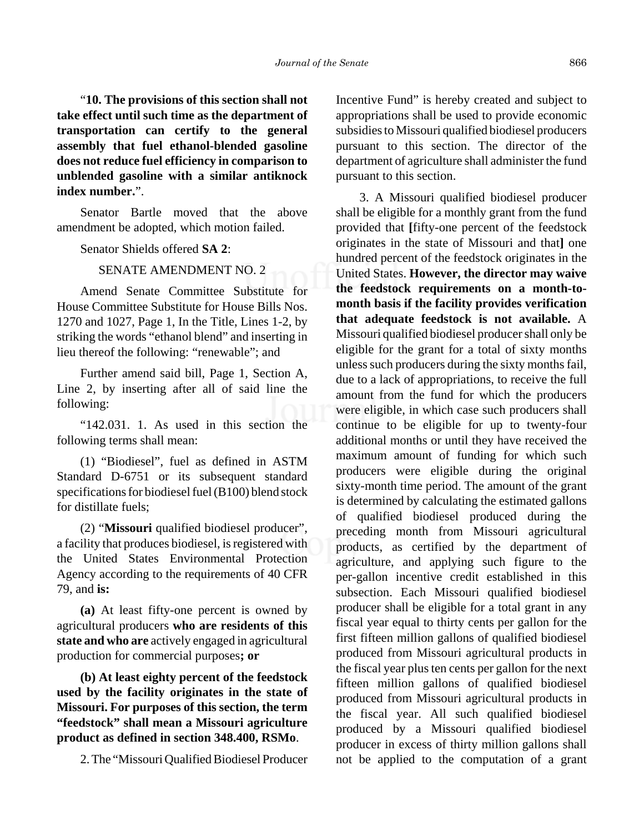"**10. The provisions of this section shall not take effect until such time as the department of transportation can certify to the general assembly that fuel ethanol-blended gasoline does not reduce fuel efficiency in comparison to unblended gasoline with a similar antiknock index number.**".

Senator Bartle moved that the above amendment be adopted, which motion failed.

Senator Shields offered **SA 2**:

# SENATE AMENDMENT NO. 2

Amend Senate Committee Substitute for House Committee Substitute for House Bills Nos. 1270 and 1027, Page 1, In the Title, Lines 1-2, by striking the words "ethanol blend" and inserting in lieu thereof the following: "renewable"; and

Further amend said bill, Page 1, Section A, Line 2, by inserting after all of said line the following:

"142.031. 1. As used in this section the following terms shall mean:

(1) "Biodiesel", fuel as defined in ASTM Standard D-6751 or its subsequent standard specifications for biodiesel fuel (B100) blend stock for distillate fuels;

(2) "**Missouri** qualified biodiesel producer", a facility that produces biodiesel, is registered with the United States Environmental Protection Agency according to the requirements of 40 CFR 79, and **is:**

**(a)** At least fifty-one percent is owned by agricultural producers **who are residents of this state and who are** actively engaged in agricultural production for commercial purposes**; or**

**(b) At least eighty percent of the feedstock used by the facility originates in the state of Missouri. For purposes of this section, the term "feedstock" shall mean a Missouri agriculture product as defined in section 348.400, RSMo**.

2. The "Missouri Qualified Biodiesel Producer

Incentive Fund" is hereby created and subject to appropriations shall be used to provide economic subsidies to Missouri qualified biodiesel producers pursuant to this section. The director of the department of agriculture shall administer the fund pursuant to this section.

3. A Missouri qualified biodiesel producer shall be eligible for a monthly grant from the fund provided that **[**fifty-one percent of the feedstock originates in the state of Missouri and that**]** one hundred percent of the feedstock originates in the United States. **However, the director may waive the feedstock requirements on a month-tomonth basis if the facility provides verification that adequate feedstock is not available.** A Missouri qualified biodiesel producer shall only be eligible for the grant for a total of sixty months unless such producers during the sixty months fail, due to a lack of appropriations, to receive the full amount from the fund for which the producers were eligible, in which case such producers shall continue to be eligible for up to twenty-four additional months or until they have received the maximum amount of funding for which such producers were eligible during the original sixty-month time period. The amount of the grant is determined by calculating the estimated gallons of qualified biodiesel produced during the preceding month from Missouri agricultural products, as certified by the department of agriculture, and applying such figure to the per-gallon incentive credit established in this subsection. Each Missouri qualified biodiesel producer shall be eligible for a total grant in any fiscal year equal to thirty cents per gallon for the first fifteen million gallons of qualified biodiesel produced from Missouri agricultural products in the fiscal year plus ten cents per gallon for the next fifteen million gallons of qualified biodiesel produced from Missouri agricultural products in the fiscal year. All such qualified biodiesel produced by a Missouri qualified biodiesel producer in excess of thirty million gallons shall not be applied to the computation of a grant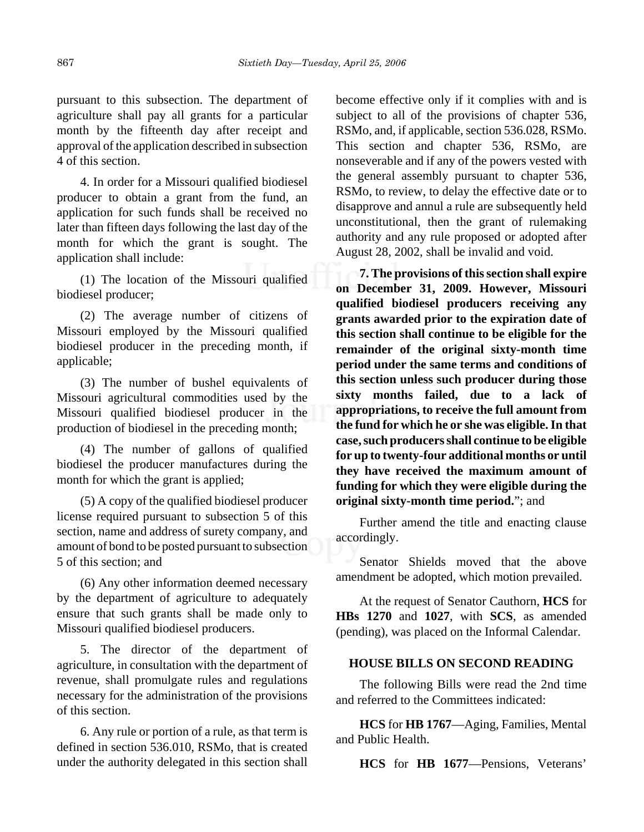pursuant to this subsection. The department of agriculture shall pay all grants for a particular month by the fifteenth day after receipt and approval of the application described in subsection 4 of this section.

4. In order for a Missouri qualified biodiesel producer to obtain a grant from the fund, an application for such funds shall be received no later than fifteen days following the last day of the month for which the grant is sought. The application shall include:

(1) The location of the Missouri qualified biodiesel producer;

(2) The average number of citizens of Missouri employed by the Missouri qualified biodiesel producer in the preceding month, if applicable;

(3) The number of bushel equivalents of Missouri agricultural commodities used by the Missouri qualified biodiesel producer in the production of biodiesel in the preceding month;

(4) The number of gallons of qualified biodiesel the producer manufactures during the month for which the grant is applied;

(5) A copy of the qualified biodiesel producer license required pursuant to subsection 5 of this section, name and address of surety company, and amount of bond to be posted pursuant to subsection 5 of this section; and

(6) Any other information deemed necessary by the department of agriculture to adequately ensure that such grants shall be made only to Missouri qualified biodiesel producers.

5. The director of the department of agriculture, in consultation with the department of revenue, shall promulgate rules and regulations necessary for the administration of the provisions of this section.

6. Any rule or portion of a rule, as that term is defined in section 536.010, RSMo, that is created under the authority delegated in this section shall

become effective only if it complies with and is subject to all of the provisions of chapter 536, RSMo, and, if applicable, section 536.028, RSMo. This section and chapter 536, RSMo, are nonseverable and if any of the powers vested with the general assembly pursuant to chapter 536, RSMo, to review, to delay the effective date or to disapprove and annul a rule are subsequently held unconstitutional, then the grant of rulemaking authority and any rule proposed or adopted after August 28, 2002, shall be invalid and void.

**7. The provisions of this section shall expire on December 31, 2009. However, Missouri qualified biodiesel producers receiving any grants awarded prior to the expiration date of this section shall continue to be eligible for the remainder of the original sixty-month time period under the same terms and conditions of this section unless such producer during those sixty months failed, due to a lack of appropriations, to receive the full amount from the fund for which he or she was eligible. In that case, such producers shall continue to be eligible for up to twenty-four additional months or until they have received the maximum amount of funding for which they were eligible during the original sixty-month time period.**"; and

Further amend the title and enacting clause accordingly.

Senator Shields moved that the above amendment be adopted, which motion prevailed.

At the request of Senator Cauthorn, **HCS** for **HBs 1270** and **1027**, with **SCS**, as amended (pending), was placed on the Informal Calendar.

# **HOUSE BILLS ON SECOND READING**

The following Bills were read the 2nd time and referred to the Committees indicated:

**HCS** for **HB 1767**—Aging, Families, Mental and Public Health.

**HCS** for **HB 1677**—Pensions, Veterans'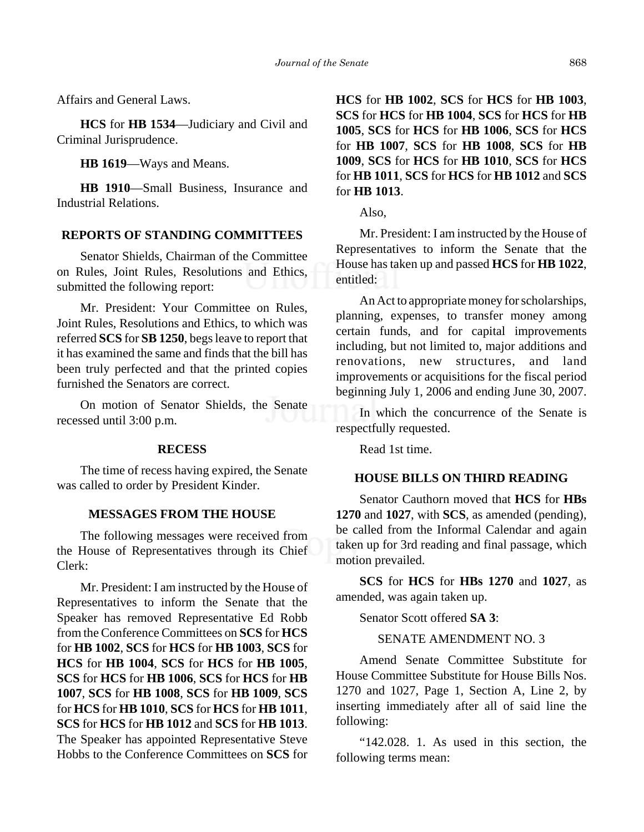Affairs and General Laws.

**HCS** for **HB 1534**—Judiciary and Civil and Criminal Jurisprudence.

**HB 1619**—Ways and Means.

**HB 1910**—Small Business, Insurance and Industrial Relations.

#### **REPORTS OF STANDING COMMITTEES**

Senator Shields, Chairman of the Committee on Rules, Joint Rules, Resolutions and Ethics, submitted the following report:

Mr. President: Your Committee on Rules, Joint Rules, Resolutions and Ethics, to which was referred **SCS** for **SB 1250**, begs leave to report that it has examined the same and finds that the bill has been truly perfected and that the printed copies furnished the Senators are correct.

On motion of Senator Shields, the Senate recessed until 3:00 p.m.

#### **RECESS**

The time of recess having expired, the Senate was called to order by President Kinder.

# **MESSAGES FROM THE HOUSE**

The following messages were received from the House of Representatives through its Chief Clerk:

Mr. President: I am instructed by the House of Representatives to inform the Senate that the Speaker has removed Representative Ed Robb from the Conference Committees on **SCS** for **HCS** for **HB 1002**, **SCS** for **HCS** for **HB 1003**, **SCS** for **HCS** for **HB 1004**, **SCS** for **HCS** for **HB 1005**, **SCS** for **HCS** for **HB 1006**, **SCS** for **HCS** for **HB 1007**, **SCS** for **HB 1008**, **SCS** for **HB 1009**, **SCS** for **HCS** for **HB 1010**, **SCS** for **HCS** for **HB 1011**, **SCS** for **HCS** for **HB 1012** and **SCS** for **HB 1013**. The Speaker has appointed Representative Steve Hobbs to the Conference Committees on **SCS** for **HCS** for **HB 1002**, **SCS** for **HCS** for **HB 1003**, **SCS** for **HCS** for **HB 1004**, **SCS** for **HCS** for **HB 1005**, **SCS** for **HCS** for **HB 1006**, **SCS** for **HCS** for **HB 1007**, **SCS** for **HB 1008**, **SCS** for **HB 1009**, **SCS** for **HCS** for **HB 1010**, **SCS** for **HCS** for **HB 1011**, **SCS** for **HCS** for **HB 1012** and **SCS** for **HB 1013**.

Also,

Mr. President: I am instructed by the House of Representatives to inform the Senate that the House has taken up and passed **HCS** for **HB 1022**, entitled:

An Act to appropriate money for scholarships, planning, expenses, to transfer money among certain funds, and for capital improvements including, but not limited to, major additions and renovations, new structures, and land improvements or acquisitions for the fiscal period beginning July 1, 2006 and ending June 30, 2007.

In which the concurrence of the Senate is respectfully requested.

Read 1st time.

#### **HOUSE BILLS ON THIRD READING**

Senator Cauthorn moved that **HCS** for **HBs 1270** and **1027**, with **SCS**, as amended (pending), be called from the Informal Calendar and again taken up for 3rd reading and final passage, which motion prevailed.

**SCS** for **HCS** for **HBs 1270** and **1027**, as amended, was again taken up.

Senator Scott offered **SA 3**:

SENATE AMENDMENT NO. 3

Amend Senate Committee Substitute for House Committee Substitute for House Bills Nos. 1270 and 1027, Page 1, Section A, Line 2, by inserting immediately after all of said line the following:

"142.028. 1. As used in this section, the following terms mean: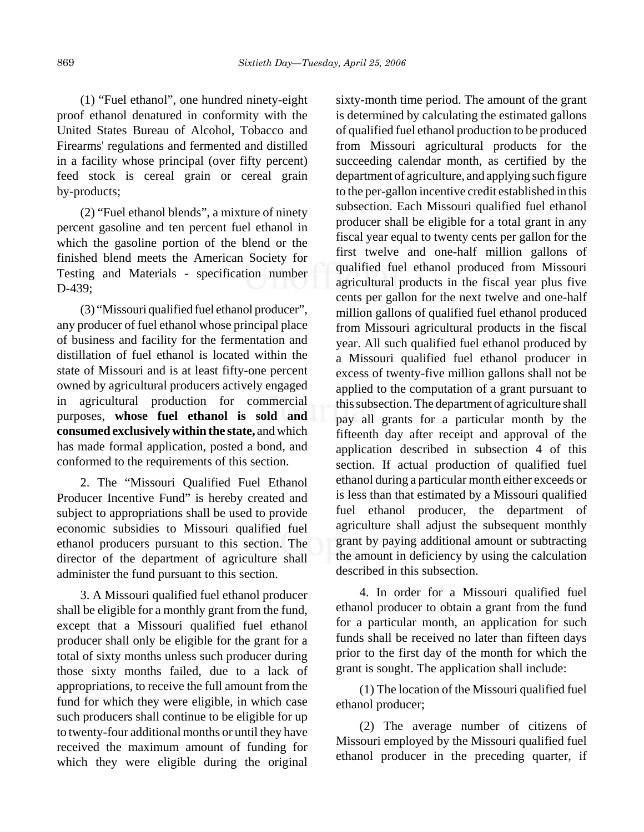(1) "Fuel ethanol", one hundred ninety-eight proof ethanol denatured in conformity with the United States Bureau of Alcohol, Tobacco and Firearms' regulations and fermented and distilled in a facility whose principal (over fifty percent) feed stock is cereal grain or cereal grain by-products;

(2) "Fuel ethanol blends", a mixture of ninety percent gasoline and ten percent fuel ethanol in which the gasoline portion of the blend or the finished blend meets the American Society for Testing and Materials - specification number D-439;

(3) "Missouri qualified fuel ethanol producer", any producer of fuel ethanol whose principal place of business and facility for the fermentation and distillation of fuel ethanol is located within the state of Missouri and is at least fifty-one percent owned by agricultural producers actively engaged in agricultural production for commercial purposes, **whose fuel ethanol is sold and consumed exclusively within the state,** and which has made formal application, posted a bond, and conformed to the requirements of this section.

2. The "Missouri Qualified Fuel Ethanol Producer Incentive Fund" is hereby created and subject to appropriations shall be used to provide economic subsidies to Missouri qualified fuel ethanol producers pursuant to this section. The director of the department of agriculture shall administer the fund pursuant to this section.

3. A Missouri qualified fuel ethanol producer shall be eligible for a monthly grant from the fund, except that a Missouri qualified fuel ethanol producer shall only be eligible for the grant for a total of sixty months unless such producer during those sixty months failed, due to a lack of appropriations, to receive the full amount from the fund for which they were eligible, in which case such producers shall continue to be eligible for up to twenty-four additional months or until they have received the maximum amount of funding for which they were eligible during the original

sixty-month time period. The amount of the grant is determined by calculating the estimated gallons of qualified fuel ethanol production to be produced from Missouri agricultural products for the succeeding calendar month, as certified by the department of agriculture, and applying such figure to the per-gallon incentive credit established in this subsection. Each Missouri qualified fuel ethanol producer shall be eligible for a total grant in any fiscal year equal to twenty cents per gallon for the first twelve and one-half million gallons of qualified fuel ethanol produced from Missouri agricultural products in the fiscal year plus five cents per gallon for the next twelve and one-half million gallons of qualified fuel ethanol produced from Missouri agricultural products in the fiscal year. All such qualified fuel ethanol produced by a Missouri qualified fuel ethanol producer in excess of twenty-five million gallons shall not be applied to the computation of a grant pursuant to this subsection. The department of agriculture shall pay all grants for a particular month by the fifteenth day after receipt and approval of the application described in subsection 4 of this section. If actual production of qualified fuel ethanol during a particular month either exceeds or is less than that estimated by a Missouri qualified fuel ethanol producer, the department of agriculture shall adjust the subsequent monthly grant by paying additional amount or subtracting the amount in deficiency by using the calculation described in this subsection.

4. In order for a Missouri qualified fuel ethanol producer to obtain a grant from the fund for a particular month, an application for such funds shall be received no later than fifteen days prior to the first day of the month for which the grant is sought. The application shall include:

(1) The location of the Missouri qualified fuel ethanol producer;

(2) The average number of citizens of Missouri employed by the Missouri qualified fuel ethanol producer in the preceding quarter, if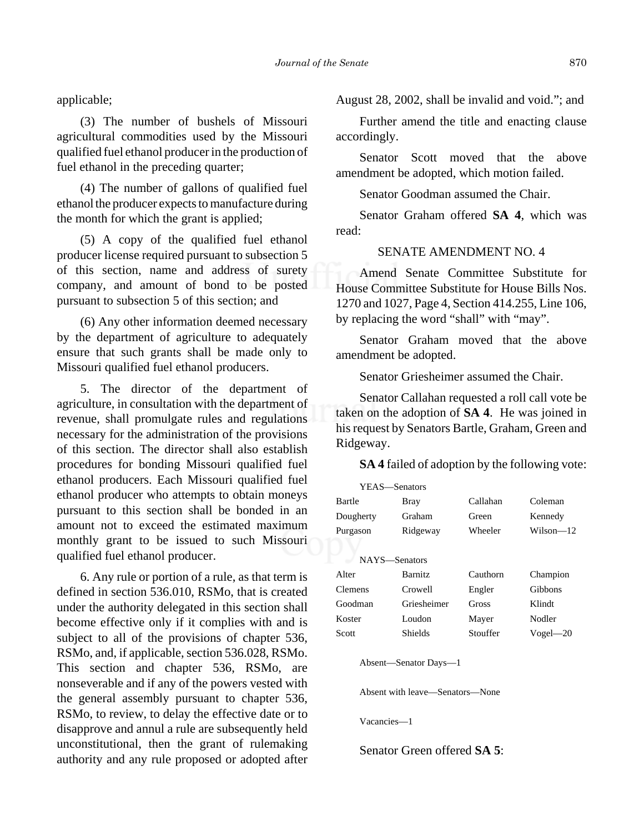applicable;

(3) The number of bushels of Missouri agricultural commodities used by the Missouri qualified fuel ethanol producer in the production of fuel ethanol in the preceding quarter;

(4) The number of gallons of qualified fuel ethanol the producer expects to manufacture during the month for which the grant is applied;

(5) A copy of the qualified fuel ethanol producer license required pursuant to subsection 5 of this section, name and address of surety company, and amount of bond to be posted pursuant to subsection 5 of this section; and

(6) Any other information deemed necessary by the department of agriculture to adequately ensure that such grants shall be made only to Missouri qualified fuel ethanol producers.

5. The director of the department of agriculture, in consultation with the department of revenue, shall promulgate rules and regulations necessary for the administration of the provisions of this section. The director shall also establish procedures for bonding Missouri qualified fuel ethanol producers. Each Missouri qualified fuel ethanol producer who attempts to obtain moneys pursuant to this section shall be bonded in an amount not to exceed the estimated maximum monthly grant to be issued to such Missouri qualified fuel ethanol producer.

6. Any rule or portion of a rule, as that term is defined in section 536.010, RSMo, that is created under the authority delegated in this section shall become effective only if it complies with and is subject to all of the provisions of chapter 536, RSMo, and, if applicable, section 536.028, RSMo. This section and chapter 536, RSMo, are nonseverable and if any of the powers vested with the general assembly pursuant to chapter 536, RSMo, to review, to delay the effective date or to disapprove and annul a rule are subsequently held unconstitutional, then the grant of rulemaking authority and any rule proposed or adopted after August 28, 2002, shall be invalid and void."; and

Further amend the title and enacting clause accordingly.

Senator Scott moved that the above amendment be adopted, which motion failed.

Senator Goodman assumed the Chair.

Senator Graham offered **SA 4**, which was read:

#### SENATE AMENDMENT NO. 4

Amend Senate Committee Substitute for House Committee Substitute for House Bills Nos. 1270 and 1027, Page 4, Section 414.255, Line 106, by replacing the word "shall" with "may".

Senator Graham moved that the above amendment be adopted.

Senator Griesheimer assumed the Chair.

Senator Callahan requested a roll call vote be taken on the adoption of **SA 4**. He was joined in his request by Senators Bartle, Graham, Green and Ridgeway.

**SA 4** failed of adoption by the following vote:

| YEAS-Senators                                            |                |          |              |
|----------------------------------------------------------|----------------|----------|--------------|
| Bartle                                                   | Bray           | Callahan | Coleman      |
| Dougherty                                                | Graham         | Green    | Kennedy      |
| Purgason                                                 | Ridgeway       | Wheeler  | Wilson—12    |
|                                                          |                |          |              |
| NAYS-Senators                                            |                |          |              |
| Alter                                                    | <b>Barnitz</b> | Cauthorn | Champion     |
| <b>Clemens</b>                                           | Crowell        | Engler   | Gibbons      |
| Goodman                                                  | Griesheimer    | Gross    | Klindt       |
| Koster                                                   | Loudon         | Mayer    | Nodler       |
| Scott                                                    | Shields        | Stouffer | $Vogel - 20$ |
| Absent—Senator Days—1<br>Absent with leave—Senators—None |                |          |              |
|                                                          |                |          |              |

Vacancies—1

Senator Green offered **SA 5**: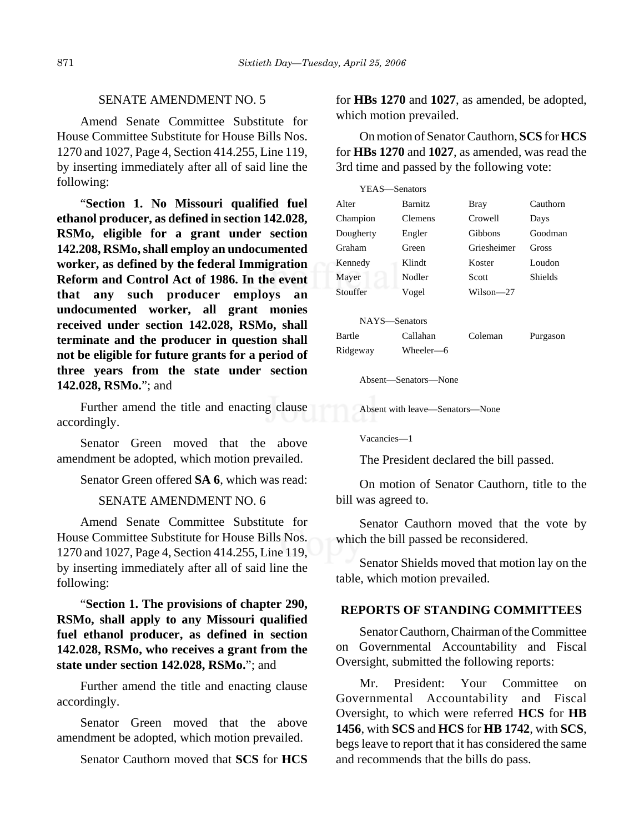# SENATE AMENDMENT NO. 5

Amend Senate Committee Substitute for House Committee Substitute for House Bills Nos. 1270 and 1027, Page 4, Section 414.255, Line 119, by inserting immediately after all of said line the following:

"**Section 1. No Missouri qualified fuel ethanol producer, as defined in section 142.028, RSMo, eligible for a grant under section 142.208, RSMo, shall employ an undocumented worker, as defined by the federal Immigration Reform and Control Act of 1986. In the event that any such producer employs an undocumented worker, all grant monies received under section 142.028, RSMo, shall terminate and the producer in question shall not be eligible for future grants for a period of three years from the state under section 142.028, RSMo.**"; and

Further amend the title and enacting clause accordingly.

Senator Green moved that the above amendment be adopted, which motion prevailed.

Senator Green offered **SA 6**, which was read:

#### SENATE AMENDMENT NO. 6

Amend Senate Committee Substitute for House Committee Substitute for House Bills Nos. 1270 and 1027, Page 4, Section 414.255, Line 119, by inserting immediately after all of said line the following:

"**Section 1. The provisions of chapter 290, RSMo, shall apply to any Missouri qualified fuel ethanol producer, as defined in section 142.028, RSMo, who receives a grant from the state under section 142.028, RSMo.**"; and

Further amend the title and enacting clause accordingly.

Senator Green moved that the above amendment be adopted, which motion prevailed.

Senator Cauthorn moved that **SCS** for **HCS**

for **HBs 1270** and **1027**, as amended, be adopted, which motion prevailed.

On motion of Senator Cauthorn, **SCS** for **HCS** for **HBs 1270** and **1027**, as amended, was read the 3rd time and passed by the following vote:

| YEAS—Senators |                |             |                |
|---------------|----------------|-------------|----------------|
| Alter         | <b>Barnitz</b> | <b>Bray</b> | Cauthorn       |
| Champion      | <b>Clemens</b> | Crowell     | Days           |
| Dougherty     | Engler         | Gibbons     | Goodman        |
| Graham        | Green          | Griesheimer | Gross          |
| Kennedy       | Klindt         | Koster      | Loudon         |
| Mayer         | Nodler         | Scott       | <b>Shields</b> |
| Stouffer      | Vogel          | Wilson—27   |                |

| NAYS—Senators |           |         |          |
|---------------|-----------|---------|----------|
| Bartle        | Callahan  | Coleman | Purgason |
| Ridgeway      | Wheeler-6 |         |          |

Absent—Senators—None

Absent with leave—Senators—None

Vacancies—1

The President declared the bill passed.

On motion of Senator Cauthorn, title to the bill was agreed to.

Senator Cauthorn moved that the vote by which the bill passed be reconsidered.

Senator Shields moved that motion lay on the table, which motion prevailed.

#### **REPORTS OF STANDING COMMITTEES**

Senator Cauthorn, Chairman of the Committee on Governmental Accountability and Fiscal Oversight, submitted the following reports:

Mr. President: Your Committee on Governmental Accountability and Fiscal Oversight, to which were referred **HCS** for **HB 1456**, with **SCS** and **HCS** for **HB 1742**, with **SCS**, begs leave to report that it has considered the same and recommends that the bills do pass.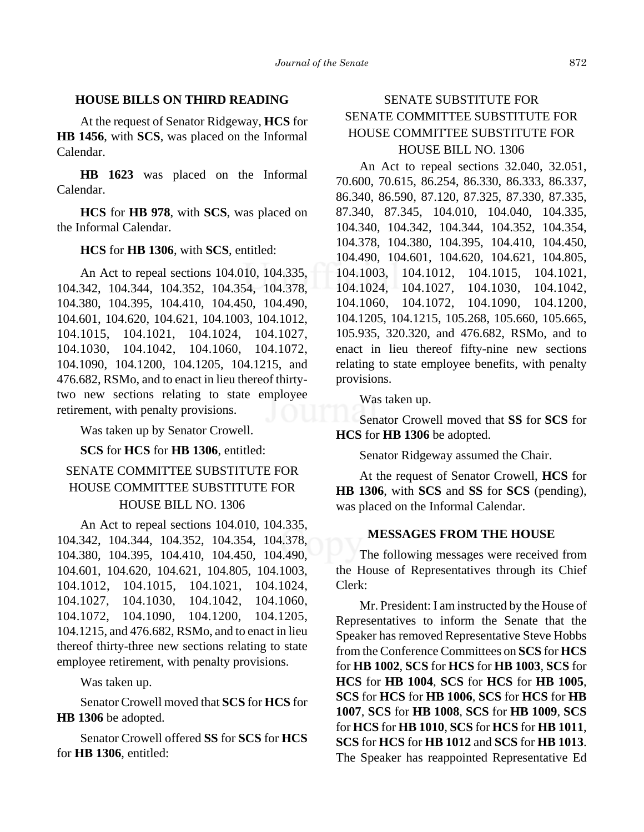# **HOUSE BILLS ON THIRD READING**

At the request of Senator Ridgeway, **HCS** for **HB 1456**, with **SCS**, was placed on the Informal Calendar.

**HB 1623** was placed on the Informal Calendar.

**HCS** for **HB 978**, with **SCS**, was placed on the Informal Calendar.

# **HCS** for **HB 1306**, with **SCS**, entitled:

An Act to repeal sections 104.010, 104.335, 104.342, 104.344, 104.352, 104.354, 104.378, 104.380, 104.395, 104.410, 104.450, 104.490, 104.601, 104.620, 104.621, 104.1003, 104.1012, 104.1015, 104.1021, 104.1024, 104.1027, 104.1030, 104.1042, 104.1060, 104.1072, 104.1090, 104.1200, 104.1205, 104.1215, and 476.682, RSMo, and to enact in lieu thereof thirtytwo new sections relating to state employee retirement, with penalty provisions.

Was taken up by Senator Crowell.

**SCS** for **HCS** for **HB 1306**, entitled:

# SENATE COMMITTEE SUBSTITUTE FOR HOUSE COMMITTEE SUBSTITUTE FOR HOUSE BILL NO. 1306

An Act to repeal sections 104.010, 104.335, 104.342, 104.344, 104.352, 104.354, 104.378, 104.380, 104.395, 104.410, 104.450, 104.490, 104.601, 104.620, 104.621, 104.805, 104.1003, 104.1012, 104.1015, 104.1021, 104.1024, 104.1027, 104.1030, 104.1042, 104.1060, 104.1072, 104.1090, 104.1200, 104.1205, 104.1215, and 476.682, RSMo, and to enact in lieu thereof thirty-three new sections relating to state employee retirement, with penalty provisions.

Was taken up.

Senator Crowell moved that **SCS** for **HCS** for **HB 1306** be adopted.

Senator Crowell offered **SS** for **SCS** for **HCS** for **HB 1306**, entitled:

# SENATE SUBSTITUTE FOR SENATE COMMITTEE SUBSTITUTE FOR HOUSE COMMITTEE SUBSTITUTE FOR HOUSE BILL NO. 1306

An Act to repeal sections 32.040, 32.051, 70.600, 70.615, 86.254, 86.330, 86.333, 86.337, 86.340, 86.590, 87.120, 87.325, 87.330, 87.335, 87.340, 87.345, 104.010, 104.040, 104.335, 104.340, 104.342, 104.344, 104.352, 104.354, 104.378, 104.380, 104.395, 104.410, 104.450, 104.490, 104.601, 104.620, 104.621, 104.805, 104.1003, 104.1012, 104.1015, 104.1021, 104.1024, 104.1027, 104.1030, 104.1042, 104.1060, 104.1072, 104.1090, 104.1200, 104.1205, 104.1215, 105.268, 105.660, 105.665, 105.935, 320.320, and 476.682, RSMo, and to enact in lieu thereof fifty-nine new sections relating to state employee benefits, with penalty provisions.

Was taken up.

Senator Crowell moved that **SS** for **SCS** for **HCS** for **HB 1306** be adopted.

Senator Ridgeway assumed the Chair.

At the request of Senator Crowell, **HCS** for **HB 1306**, with **SCS** and **SS** for **SCS** (pending), was placed on the Informal Calendar.

# **MESSAGES FROM THE HOUSE**

The following messages were received from the House of Representatives through its Chief Clerk:

Mr. President: I am instructed by the House of Representatives to inform the Senate that the Speaker has removed Representative Steve Hobbs from the Conference Committees on **SCS** for **HCS** for **HB 1002**, **SCS** for **HCS** for **HB 1003**, **SCS** for **HCS** for **HB 1004**, **SCS** for **HCS** for **HB 1005**, **SCS** for **HCS** for **HB 1006**, **SCS** for **HCS** for **HB 1007**, **SCS** for **HB 1008**, **SCS** for **HB 1009**, **SCS** for **HCS** for **HB 1010**, **SCS** for **HCS** for **HB 1011**, **SCS** for **HCS** for **HB 1012** and **SCS** for **HB 1013**. The Speaker has reappointed Representative Ed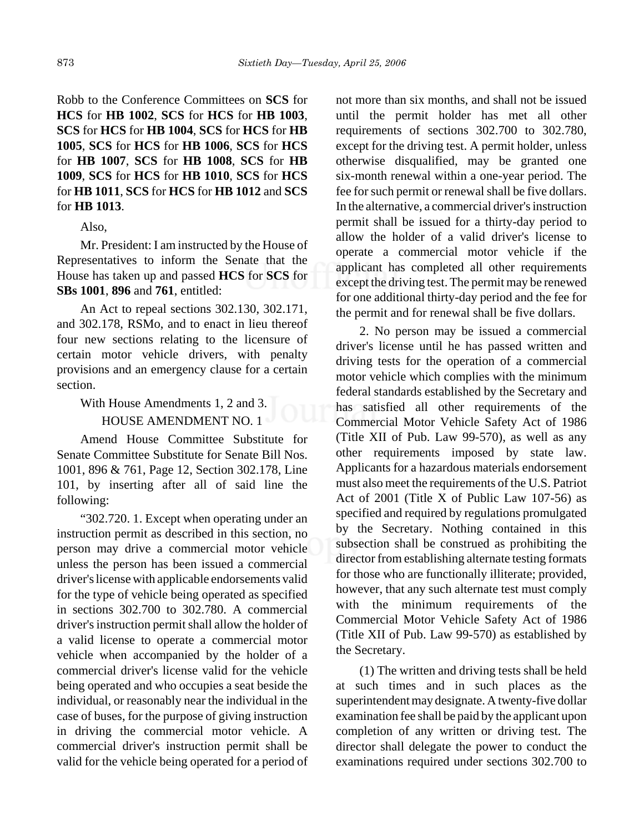Robb to the Conference Committees on **SCS** for **HCS** for **HB 1002**, **SCS** for **HCS** for **HB 1003**, **SCS** for **HCS** for **HB 1004**, **SCS** for **HCS** for **HB 1005**, **SCS** for **HCS** for **HB 1006**, **SCS** for **HCS** for **HB 1007**, **SCS** for **HB 1008**, **SCS** for **HB 1009**, **SCS** for **HCS** for **HB 1010**, **SCS** for **HCS** for **HB 1011**, **SCS** for **HCS** for **HB 1012** and **SCS** for **HB 1013**.

#### Also,

Mr. President: I am instructed by the House of Representatives to inform the Senate that the House has taken up and passed **HCS** for **SCS** for **SBs 1001**, **896** and **761**, entitled:

An Act to repeal sections 302.130, 302.171, and 302.178, RSMo, and to enact in lieu thereof four new sections relating to the licensure of certain motor vehicle drivers, with penalty provisions and an emergency clause for a certain section.

With House Amendments 1, 2 and 3.

#### HOUSE AMENDMENT NO. 1

Amend House Committee Substitute for Senate Committee Substitute for Senate Bill Nos. 1001, 896 & 761, Page 12, Section 302.178, Line 101, by inserting after all of said line the following:

"302.720. 1. Except when operating under an instruction permit as described in this section, no person may drive a commercial motor vehicle unless the person has been issued a commercial driver's license with applicable endorsements valid for the type of vehicle being operated as specified in sections 302.700 to 302.780. A commercial driver's instruction permit shall allow the holder of a valid license to operate a commercial motor vehicle when accompanied by the holder of a commercial driver's license valid for the vehicle being operated and who occupies a seat beside the individual, or reasonably near the individual in the case of buses, for the purpose of giving instruction in driving the commercial motor vehicle. A commercial driver's instruction permit shall be valid for the vehicle being operated for a period of not more than six months, and shall not be issued until the permit holder has met all other requirements of sections 302.700 to 302.780, except for the driving test. A permit holder, unless otherwise disqualified, may be granted one six-month renewal within a one-year period. The fee for such permit or renewal shall be five dollars. In the alternative, a commercial driver's instruction permit shall be issued for a thirty-day period to allow the holder of a valid driver's license to operate a commercial motor vehicle if the applicant has completed all other requirements except the driving test. The permit may be renewed for one additional thirty-day period and the fee for the permit and for renewal shall be five dollars.

2. No person may be issued a commercial driver's license until he has passed written and driving tests for the operation of a commercial motor vehicle which complies with the minimum federal standards established by the Secretary and has satisfied all other requirements of the Commercial Motor Vehicle Safety Act of 1986 (Title XII of Pub. Law 99-570), as well as any other requirements imposed by state law. Applicants for a hazardous materials endorsement must also meet the requirements of the U.S. Patriot Act of 2001 (Title X of Public Law 107-56) as specified and required by regulations promulgated by the Secretary. Nothing contained in this subsection shall be construed as prohibiting the director from establishing alternate testing formats for those who are functionally illiterate; provided, however, that any such alternate test must comply with the minimum requirements of the Commercial Motor Vehicle Safety Act of 1986 (Title XII of Pub. Law 99-570) as established by the Secretary.

(1) The written and driving tests shall be held at such times and in such places as the superintendent may designate. A twenty-five dollar examination fee shall be paid by the applicant upon completion of any written or driving test. The director shall delegate the power to conduct the examinations required under sections 302.700 to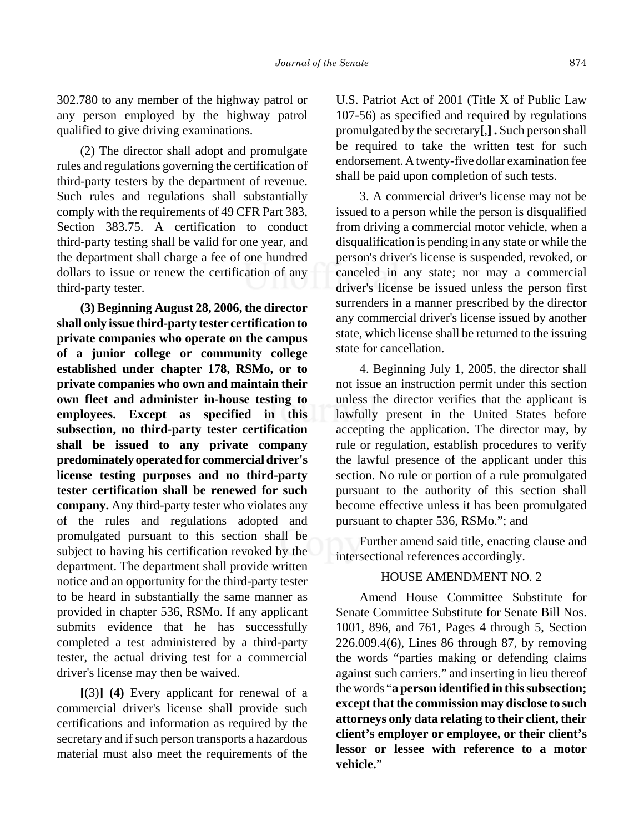302.780 to any member of the highway patrol or any person employed by the highway patrol qualified to give driving examinations.

(2) The director shall adopt and promulgate rules and regulations governing the certification of third-party testers by the department of revenue. Such rules and regulations shall substantially comply with the requirements of 49 CFR Part 383, Section 383.75. A certification to conduct third-party testing shall be valid for one year, and the department shall charge a fee of one hundred dollars to issue or renew the certification of any third-party tester.

**(3) Beginning August 28, 2006, the director shall only issue third-party tester certification to private companies who operate on the campus of a junior college or community college established under chapter 178, RSMo, or to private companies who own and maintain their own fleet and administer in-house testing to employees. Except as specified in this subsection, no third-party tester certification shall be issued to any private company predominately operated for commercial driver's license testing purposes and no third-party tester certification shall be renewed for such company.** Any third-party tester who violates any of the rules and regulations adopted and promulgated pursuant to this section shall be subject to having his certification revoked by the department. The department shall provide written notice and an opportunity for the third-party tester to be heard in substantially the same manner as provided in chapter 536, RSMo. If any applicant submits evidence that he has successfully completed a test administered by a third-party tester, the actual driving test for a commercial driver's license may then be waived.

**[**(3)**] (4)** Every applicant for renewal of a commercial driver's license shall provide such certifications and information as required by the secretary and if such person transports a hazardous material must also meet the requirements of the

U.S. Patriot Act of 2001 (Title X of Public Law 107-56) as specified and required by regulations promulgated by the secretary**[**,**] .** Such person shall be required to take the written test for such endorsement. A twenty-five dollar examination fee shall be paid upon completion of such tests.

3. A commercial driver's license may not be issued to a person while the person is disqualified from driving a commercial motor vehicle, when a disqualification is pending in any state or while the person's driver's license is suspended, revoked, or canceled in any state; nor may a commercial driver's license be issued unless the person first surrenders in a manner prescribed by the director any commercial driver's license issued by another state, which license shall be returned to the issuing state for cancellation.

4. Beginning July 1, 2005, the director shall not issue an instruction permit under this section unless the director verifies that the applicant is lawfully present in the United States before accepting the application. The director may, by rule or regulation, establish procedures to verify the lawful presence of the applicant under this section. No rule or portion of a rule promulgated pursuant to the authority of this section shall become effective unless it has been promulgated pursuant to chapter 536, RSMo."; and

Further amend said title, enacting clause and intersectional references accordingly.

#### HOUSE AMENDMENT NO. 2

Amend House Committee Substitute for Senate Committee Substitute for Senate Bill Nos. 1001, 896, and 761, Pages 4 through 5, Section 226.009.4(6), Lines 86 through 87, by removing the words "parties making or defending claims against such carriers." and inserting in lieu thereof the words "**a person identified in this subsection; except that the commission may disclose to such attorneys only data relating to their client, their client's employer or employee, or their client's lessor or lessee with reference to a motor vehicle.**"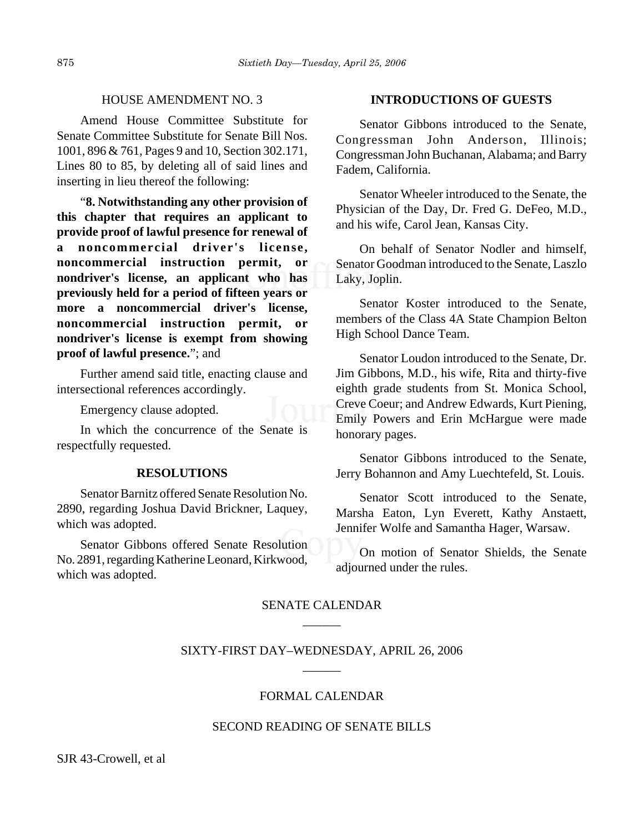#### HOUSE AMENDMENT NO. 3

Amend House Committee Substitute for Senate Committee Substitute for Senate Bill Nos. 1001, 896 & 761, Pages 9 and 10, Section 302.171, Lines 80 to 85, by deleting all of said lines and inserting in lieu thereof the following:

"**8. Notwithstanding any other provision of this chapter that requires an applicant to provide proof of lawful presence for renewal of a noncommercial driver's license, noncommercial instruction permit, or nondriver's license, an applicant who has previously held for a period of fifteen years or more a noncommercial driver's license, noncommercial instruction permit, or nondriver's license is exempt from showing proof of lawful presence.**"; and

Further amend said title, enacting clause and intersectional references accordingly.

Emergency clause adopted.

In which the concurrence of the Senate is respectfully requested.

#### **RESOLUTIONS**

Senator Barnitz offered Senate Resolution No. 2890, regarding Joshua David Brickner, Laquey, which was adopted.

Senator Gibbons offered Senate Resolution No. 2891, regarding Katherine Leonard, Kirkwood, which was adopted.

#### **INTRODUCTIONS OF GUESTS**

Senator Gibbons introduced to the Senate, Congressman John Anderson, Illinois; Congressman John Buchanan, Alabama; and Barry Fadem, California.

Senator Wheeler introduced to the Senate, the Physician of the Day, Dr. Fred G. DeFeo, M.D., and his wife, Carol Jean, Kansas City.

On behalf of Senator Nodler and himself, Senator Goodman introduced to the Senate, Laszlo Laky, Joplin.

Senator Koster introduced to the Senate, members of the Class 4A State Champion Belton High School Dance Team.

Senator Loudon introduced to the Senate, Dr. Jim Gibbons, M.D., his wife, Rita and thirty-five eighth grade students from St. Monica School, Creve Coeur; and Andrew Edwards, Kurt Piening, Emily Powers and Erin McHargue were made honorary pages.

Senator Gibbons introduced to the Senate, Jerry Bohannon and Amy Luechtefeld, St. Louis.

Senator Scott introduced to the Senate, Marsha Eaton, Lyn Everett, Kathy Anstaett, Jennifer Wolfe and Samantha Hager, Warsaw.

On motion of Senator Shields, the Senate adjourned under the rules.

# SENATE CALENDAR  $\overline{\phantom{a}}$

# SIXTY-FIRST DAY–WEDNESDAY, APRIL 26, 2006  $\overline{\phantom{a}}$

# FORMAL CALENDAR

### SECOND READING OF SENATE BILLS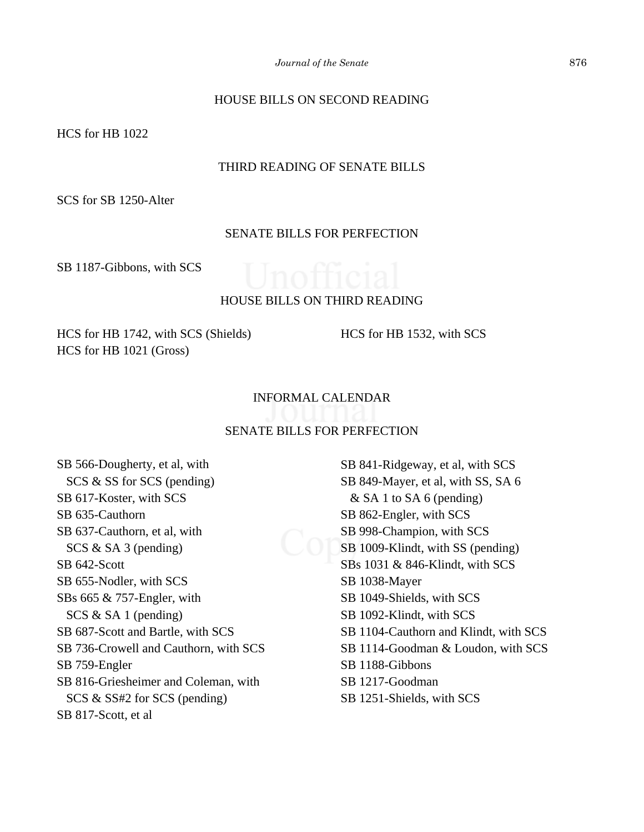# HOUSE BILLS ON SECOND READING

HCS for HB 1022

# THIRD READING OF SENATE BILLS

SCS for SB 1250-Alter

# SENATE BILLS FOR PERFECTION

SB 1187-Gibbons, with SCS



# HOUSE BILLS ON THIRD READING

HCS for HB 1742, with SCS (Shields) HCS for HB 1021 (Gross)

HCS for HB 1532, with SCS

# INFORMAL CALENDAR

#### SENATE BILLS FOR PERFECTION

SB 566-Dougherty, et al, with SCS & SS for SCS (pending) SB 617-Koster, with SCS SB 635-Cauthorn SB 637-Cauthorn, et al, with SCS & SA 3 (pending) SB 642-Scott SB 655-Nodler, with SCS SBs 665 & 757-Engler, with SCS & SA 1 (pending) SB 687-Scott and Bartle, with SCS SB 736-Crowell and Cauthorn, with SCS SB 759-Engler SB 816-Griesheimer and Coleman, with SCS & SS#2 for SCS (pending) SB 817-Scott, et al

SB 841-Ridgeway, et al, with SCS SB 849-Mayer, et al, with SS, SA 6  $&$  SA 1 to SA 6 (pending) SB 862-Engler, with SCS SB 998-Champion, with SCS SB 1009-Klindt, with SS (pending) SBs 1031 & 846-Klindt, with SCS SB 1038-Mayer SB 1049-Shields, with SCS SB 1092-Klindt, with SCS SB 1104-Cauthorn and Klindt, with SCS SB 1114-Goodman & Loudon, with SCS SB 1188-Gibbons SB 1217-Goodman SB 1251-Shields, with SCS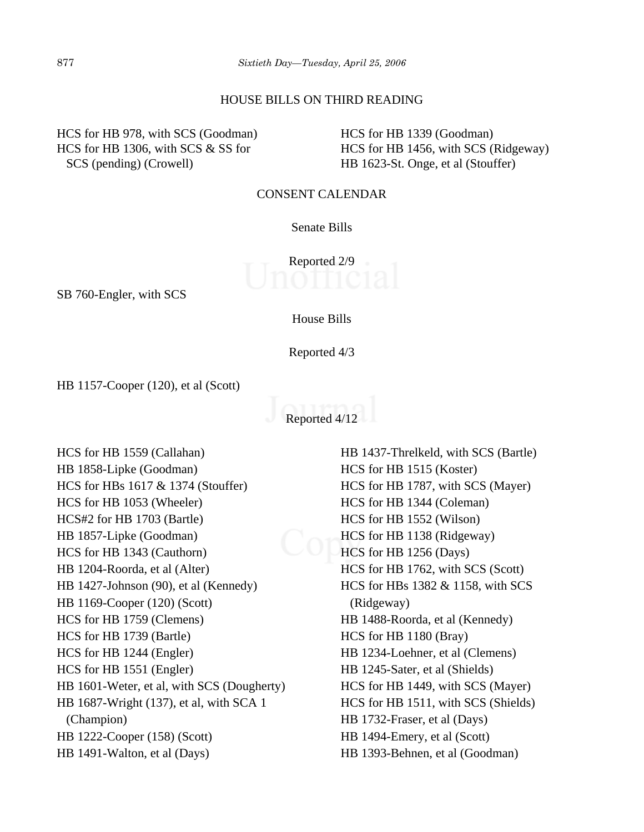#### HOUSE BILLS ON THIRD READING

HCS for HB 978, with SCS (Goodman) HCS for HB 1306, with SCS & SS for SCS (pending) (Crowell)

HCS for HB 1339 (Goodman) HCS for HB 1456, with SCS (Ridgeway) HB 1623-St. Onge, et al (Stouffer)

#### CONSENT CALENDAR

# Senate Bills

Reported 2/9

SB 760-Engler, with SCS

House Bills

Reported 4/3

HB 1157-Cooper (120), et al (Scott)

Reported 4/12

HCS for HB 1559 (Callahan) HB 1858-Lipke (Goodman) HCS for HBs 1617 & 1374 (Stouffer) HCS for HB 1053 (Wheeler) HCS#2 for HB 1703 (Bartle) HB 1857-Lipke (Goodman) HCS for HB 1343 (Cauthorn) HB 1204-Roorda, et al (Alter) HB 1427-Johnson (90), et al (Kennedy) HB 1169-Cooper (120) (Scott) HCS for HB 1759 (Clemens) HCS for HB 1739 (Bartle) HCS for HB 1244 (Engler) HCS for HB 1551 (Engler) HB 1601-Weter, et al, with SCS (Dougherty) HB 1687-Wright (137), et al, with SCA 1 (Champion) HB 1222-Cooper (158) (Scott) HB 1491-Walton, et al (Days)

HB 1437-Threlkeld, with SCS (Bartle) HCS for HB 1515 (Koster) HCS for HB 1787, with SCS (Mayer) HCS for HB 1344 (Coleman) HCS for HB 1552 (Wilson) HCS for HB 1138 (Ridgeway) HCS for HB 1256 (Days) HCS for HB 1762, with SCS (Scott) HCS for HBs 1382 & 1158, with SCS (Ridgeway) HB 1488-Roorda, et al (Kennedy) HCS for HB 1180 (Bray) HB 1234-Loehner, et al (Clemens) HB 1245-Sater, et al (Shields) HCS for HB 1449, with SCS (Mayer) HCS for HB 1511, with SCS (Shields) HB 1732-Fraser, et al (Days) HB 1494-Emery, et al (Scott) HB 1393-Behnen, et al (Goodman)